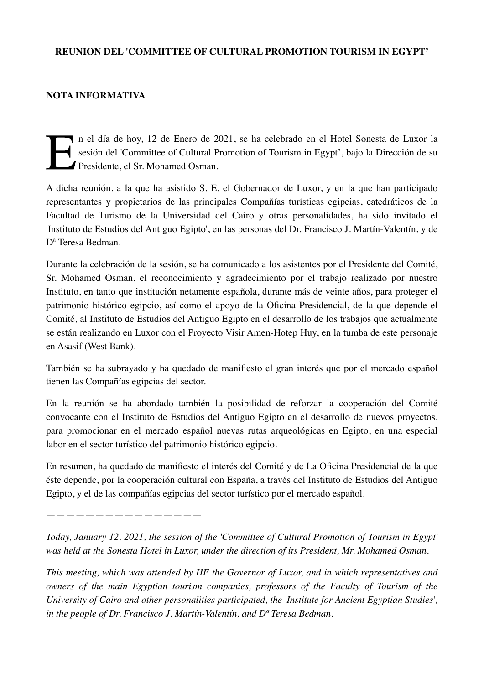## **REUNION DEL 'COMMITTEE OF CULTURAL PROMOTION TOURISM IN EGYPT'**

## **NOTA INFORMATIVA**

In el día de hoy, 12 de Enero de 2021, se ha celebrado en el Hotel Sonesta de Luxor la sesión del 'Committee of Cultural Promotion of Tourism in Egypt', bajo la Dirección de su Presidente, el Sr. Mohamed Osman. sesión del 'Committee of Cultural Promotion of Tourism in Egypt', bajo la Dirección de su Presidente, el Sr. Mohamed Osman.

A dicha reunión, a la que ha asistido S. E. el Gobernador de Luxor, y en la que han participado representantes y propietarios de las principales Compañías turísticas egipcias, catedráticos de la Facultad de Turismo de la Universidad del Cairo y otras personalidades, ha sido invitado el 'Instituto de Estudios del Antiguo Egipto', en las personas del Dr. Francisco J. Martín-Valentín, y de Dª Teresa Bedman.

Durante la celebración de la sesión, se ha comunicado a los asistentes por el Presidente del Comité, Sr. Mohamed Osman, el reconocimiento y agradecimiento por el trabajo realizado por nuestro Instituto, en tanto que institución netamente española, durante más de veinte años, para proteger el patrimonio histórico egipcio, así como el apoyo de la Oficina Presidencial, de la que depende el Comité, al Instituto de Estudios del Antiguo Egipto en el desarrollo de los trabajos que actualmente se están realizando en Luxor con el Proyecto Visir Amen-Hotep Huy, en la tumba de este personaje en Asasif (West Bank).

También se ha subrayado y ha quedado de manifiesto el gran interés que por el mercado español tienen las Compañías egipcias del sector.

En la reunión se ha abordado también la posibilidad de reforzar la cooperación del Comité convocante con el Instituto de Estudios del Antiguo Egipto en el desarrollo de nuevos proyectos, para promocionar en el mercado español nuevas rutas arqueológicas en Egipto, en una especial labor en el sector turístico del patrimonio histórico egipcio.

En resumen, ha quedado de manifiesto el interés del Comité y de La Oficina Presidencial de la que éste depende, por la cooperación cultural con España, a través del Instituto de Estudios del Antiguo Egipto, y el de las compañías egipcias del sector turístico por el mercado español.

————————————————

*Today, January 12, 2021, the session of the 'Committee of Cultural Promotion of Tourism in Egypt' was held at the Sonesta Hotel in Luxor, under the direction of its President, Mr. Mohamed Osman.* 

*This meeting, which was attended by HE the Governor of Luxor, and in which representatives and owners of the main Egyptian tourism companies, professors of the Faculty of Tourism of the University of Cairo and other personalities participated, the 'Institute for Ancient Egyptian Studies', in the people of Dr. Francisco J. Martín-Valentín, and Dª Teresa Bedman.*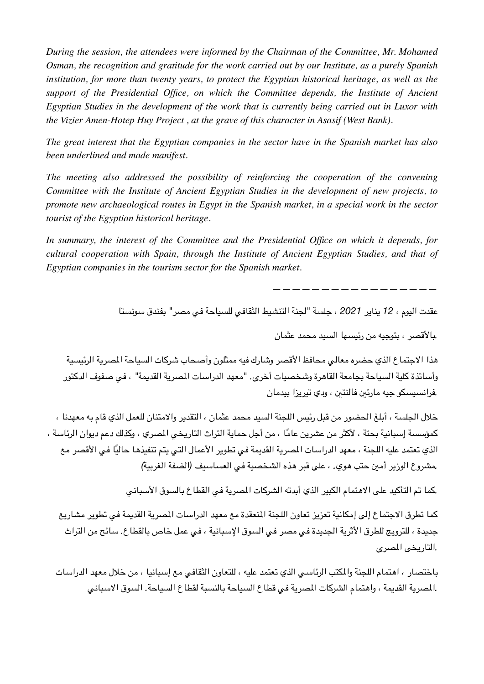*During the session, the attendees were informed by the Chairman of the Committee, Mr. Mohamed Osman, the recognition and gratitude for the work carried out by our Institute, as a purely Spanish institution, for more than twenty years, to protect the Egyptian historical heritage, as well as the support of the Presidential Office, on which the Committee depends, the Institute of Ancient Egyptian Studies in the development of the work that is currently being carried out in Luxor with the Vizier Amen-Hotep Huy Project , at the grave of this character in Asasif (West Bank).* 

*The great interest that the Egyptian companies in the sector have in the Spanish market has also been underlined and made manifest.* 

*The meeting also addressed the possibility of reinforcing the cooperation of the convening Committee with the Institute of Ancient Egyptian Studies in the development of new projects, to promote new archaeological routes in Egypt in the Spanish market, in a special work in the sector tourist of the Egyptian historical heritage.* 

*In summary, the interest of the Committee and the Presidential Office on which it depends, for cultural cooperation with Spain, through the Institute of Ancient Egyptian Studies, and that of Egyptian companies in the tourism sector for the Spanish market.* 

*—————————————————* 

عقدت اليوم ، *12* يناير *2021* ، جلسة *"*لجنة التنشيط الثقافي للسياحة في مصر*"* بفندق سونستا

*.*بالقصر ، بتوجيه من رئيسها السيد محمد عثمان

هذا الجتماع الذي حضره معالي محافظ القصر وشارك فيه ممثلون وأصحاب شركات السياحة الصرية الرئيسية وأساتذة كلية السياحة بجامعة القاهرة وشخصيات أخرى*. "*معهد الدراسات الصرية القديمة*"* ، في صفوف الدكتور *.*فرانسيسكو جيه مارتي فالنتي ، ودي تيريزا بيدمان

خلل الجلسة ، أبلغ الحضور من قبل رئيس اللجنة السيد محمد عثمان ، التقدير والمتنان للعمل الذي قام به معهدنا ، كمؤسسة إسبانية بحتة ، لأكثر من عشرين عامًا ، من أجل حماية التراث التاريخي المصري ، وكذلك دعم ديوان الرئاسة ، الذي تعتمد عليه اللجنة ، معهد الدراسات المصرية القديمة في تطوير الأعمال التي يتم تنفيذها حاليًا في الأقصر مع *.*مشروع الوزير أمي حتب هوي*.* ، على قبر هذه الشخصية في العساسيف *(*الضفة الغربية*)*

*.*كما تم التأكيد على الهتمام الكبير الذي أبدته الشركات الصرية في القطاع بالسوق السباني

كما تطرق الجتماع إلى إمكانية تعزيز تعاون اللجنة النعقدة مع معهد الدراسات الصرية القديمة في تطوير مشاريع جديدة ، للترويج للطرق الثرية الجديدة في مصر في السوق السبانية ، في عمل خاص بالقطاع*.* سائح من التراث *.*التاريخى الصرى

باختصار ، اهتمام اللجنة والكتب الرئاسي الذي تعتمد عليه ، للتعاون الثقافي مع إسبانيا ، من خلل معهد الدراسات *.*الصرية القديمة ، واهتمام الشركات الصرية في قطاع السياحة بالنسبة لقطاع السياحة*.* السوق السباني